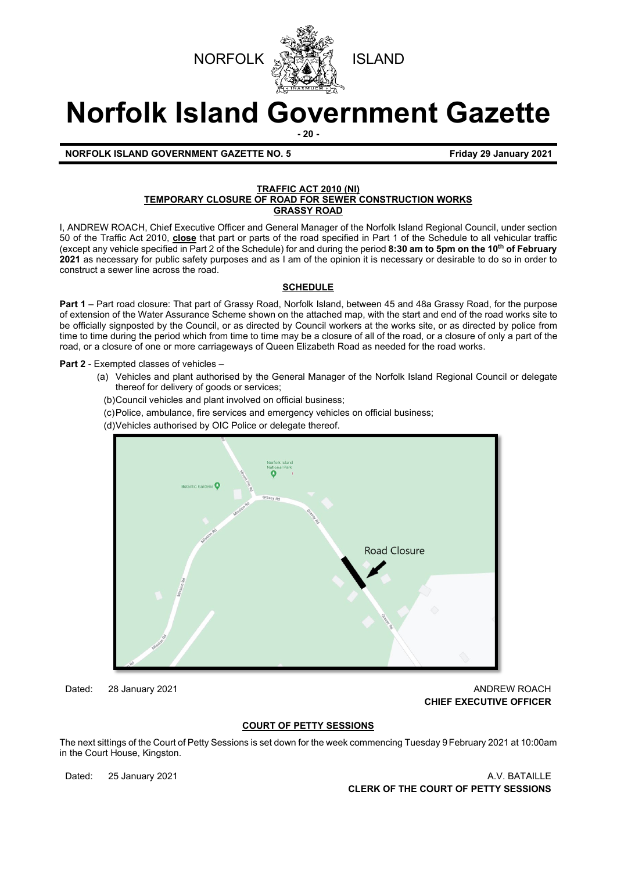



# **Norfolk Island Government Gazette**

**- 20 -**

**NORFOLK ISLAND GOVERNMENT GAZETTE NO. 5 Friday 29 January 2021** 

#### **TRAFFIC ACT 2010 (NI) TEMPORARY CLOSURE OF ROAD FOR SEWER CONSTRUCTION WORKS GRASSY ROAD**

I, ANDREW ROACH, Chief Executive Officer and General Manager of the Norfolk Island Regional Council, under section 50 of the Traffic Act 2010, **close** that part or parts of the road specified in Part 1 of the Schedule to all vehicular traffic (except any vehicle specified in Part 2 of the Schedule) for and during the period **8:30 am to 5pm on the 10th of February 2021** as necessary for public safety purposes and as I am of the opinion it is necessary or desirable to do so in order to construct a sewer line across the road.

#### **SCHEDULE**

**Part 1** – Part road closure: That part of Grassy Road, Norfolk Island, between 45 and 48a Grassy Road, for the purpose of extension of the Water Assurance Scheme shown on the attached map, with the start and end of the road works site to be officially signposted by the Council, or as directed by Council workers at the works site, or as directed by police from time to time during the period which from time to time may be a closure of all of the road, or a closure of only a part of the road, or a closure of one or more carriageways of Queen Elizabeth Road as needed for the road works.

**Part 2** - Exempted classes of vehicles –

- (a) Vehicles and plant authorised by the General Manager of the Norfolk Island Regional Council or delegate thereof for delivery of goods or services;
- (b) Council vehicles and plant involved on official business;
- (c) Police, ambulance, fire services and emergency vehicles on official business;
- (d) Vehicles authorised by OIC Police or delegate thereof.



Dated: 28 January 2021 **ANDREW ROACH CONSUMING THE CONSUMING THE CONSUMING TEAM** AND REW ROACH **CHIEF EXECUTIVE OFFICER** 

#### **COURT OF PETTY SESSIONS**

The next sittings of the Court of Petty Sessions is set down for the week commencing Tuesday 9February 2021 at 10:00am in the Court House, Kingston.

Dated: 25 January 2021 **A.V. BATAILLE CLERK OF THE COURT OF PETTY SESSIONS**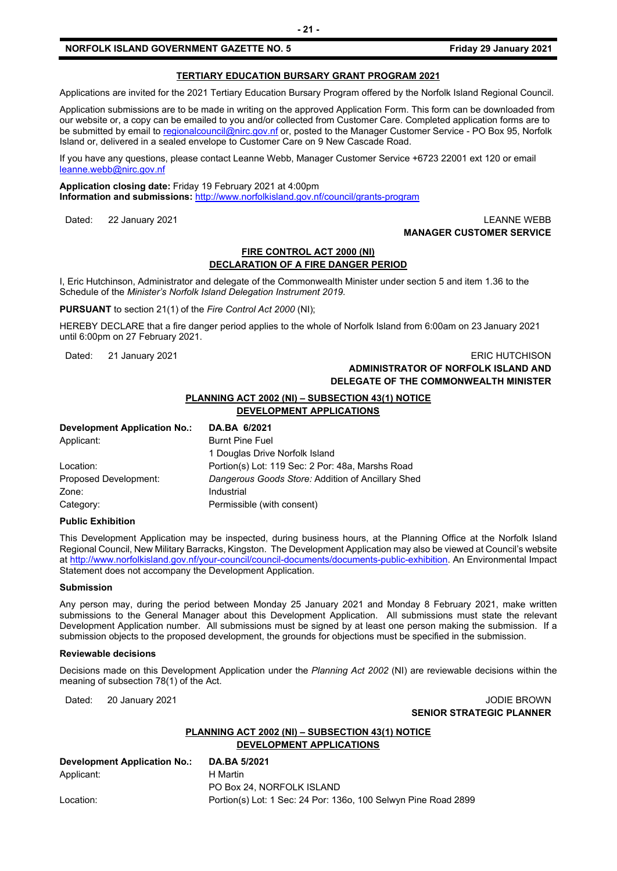#### **TERTIARY EDUCATION BURSARY GRANT PROGRAM 2021**

Applications are invited for the 2021 Tertiary Education Bursary Program offered by the Norfolk Island Regional Council.

Application submissions are to be made in writing on the approved Application Form. This form can be downloaded from our website or, a copy can be emailed to you and/or collected from Customer Care. Completed application forms are to be submitted by email t[o regionalcouncil@nirc.gov.nf](mailto:regionalcouncil@nirc.gov.nf) or, posted to the Manager Customer Service - PO Box 95, Norfolk Island or, delivered in a sealed envelope to Customer Care on 9 New Cascade Road.

If you have any questions, please contact Leanne Webb, Manager Customer Service +6723 22001 ext 120 or email [leanne.webb@nirc.gov.nf](mailto:leanne.webb@nirc.gov.nf)

**Application closing date:** Friday 19 February 2021 at 4:00pm **Information and submissions:** <http://www.norfolkisland.gov.nf/council/grants-program>

Dated: 22 January 2021 LEANNE WEBB

# **MANAGER CUSTOMER SERVICE**

#### **FIRE CONTROL ACT 2000 (NI) DECLARATION OF A FIRE DANGER PERIOD**

I, Eric Hutchinson, Administrator and delegate of the Commonwealth Minister under section 5 and item 1.36 to the Schedule of the *Minister's Norfolk Island Delegation Instrument 2019.*

**PURSUANT** to section 21(1) of the *Fire Control Act 2000* (NI);

HEREBY DECLARE that a fire danger period applies to the whole of Norfolk Island from 6:00am on 23 January 2021 until 6:00pm on 27 February 2021.

Dated: 21 January 2021 2021 2021 2021 2022 2023 2024 2022 2023 2024 2022 2023 2024 2022 2023 2024 2022 2023 202

# **ADMINISTRATOR OF NORFOLK ISLAND AND DELEGATE OF THE COMMONWEALTH MINISTER**

#### **PLANNING ACT 2002 (NI) – SUBSECTION 43(1) NOTICE**

# **DEVELOPMENT APPLICATIONS**

| DA.BA 6/2021                                      |
|---------------------------------------------------|
| <b>Burnt Pine Fuel</b>                            |
| 1 Douglas Drive Norfolk Island                    |
| Portion(s) Lot: 119 Sec: 2 Por: 48a, Marshs Road  |
| Dangerous Goods Store: Addition of Ancillary Shed |
| Industrial                                        |
| Permissible (with consent)                        |
|                                                   |

#### **Public Exhibition**

This Development Application may be inspected, during business hours, at the Planning Office at the Norfolk Island Regional Council, New Military Barracks, Kingston. The Development Application may also be viewed at Council's website a[t http://www.norfolkisland.gov.nf/your-council/council-documents/documents-public-exhibition.](http://www.norfolkisland.gov.nf/your-council/council-documents/documents-public-exhibition) An Environmental Impact Statement does not accompany the Development Application.

#### **Submission**

Any person may, during the period between Monday 25 January 2021 and Monday 8 February 2021, make written submissions to the General Manager about this Development Application. All submissions must state the relevant Development Application number. All submissions must be signed by at least one person making the submission. If a submission objects to the proposed development, the grounds for objections must be specified in the submission.

#### **Reviewable decisions**

Decisions made on this Development Application under the *Planning Act 2002* (NI) are reviewable decisions within the meaning of subsection 78(1) of the Act.

#### Dated: 20 January 2021 **Dates: 19 John Property 20 John Property 20 John Property 20 John Property 20 John Property 20 John Property 20 John Property 20 John Property 20 John Property 20 John Property 20 John Property 20 J SENIOR STRATEGIC PLANNER**

#### **PLANNING ACT 2002 (NI) – SUBSECTION 43(1) NOTICE DEVELOPMENT APPLICATIONS**

| Development Application No.: | <b>DA.BA 5/2021</b>                                            |
|------------------------------|----------------------------------------------------------------|
| Applicant:                   | H Martin                                                       |
|                              | PO Box 24. NORFOLK ISLAND                                      |
| Location:                    | Portion(s) Lot: 1 Sec: 24 Por: 1360, 100 Selwyn Pine Road 2899 |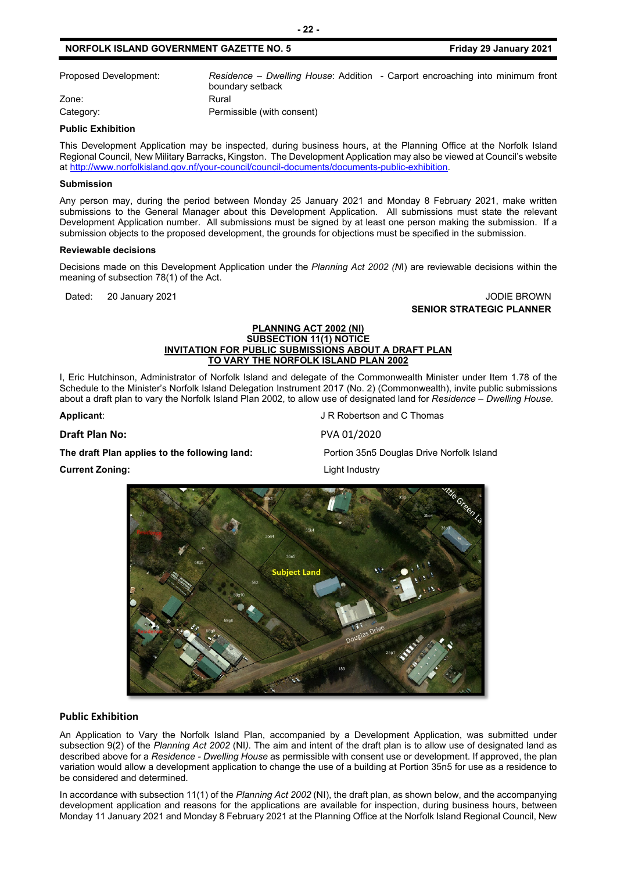Proposed Development: *Residence – Dwelling House*: Addition - Carport encroaching into minimum front boundary setback Zone: Rural Category: Category: **Permissible (with consent)** 

#### **Public Exhibition**

This Development Application may be inspected, during business hours, at the Planning Office at the Norfolk Island Regional Council, New Military Barracks, Kingston. The Development Application may also be viewed at Council's website a[t http://www.norfolkisland.gov.nf/your-council/council-documents/documents-public-exhibition.](http://www.norfolkisland.gov.nf/your-council/council-documents/documents-public-exhibition)

#### **Submission**

Any person may, during the period between Monday 25 January 2021 and Monday 8 February 2021, make written submissions to the General Manager about this Development Application. All submissions must state the relevant Development Application number. All submissions must be signed by at least one person making the submission. If a submission objects to the proposed development, the grounds for objections must be specified in the submission.

#### **Reviewable decisions**

Decisions made on this Development Application under the *Planning Act 2002 (N*I) are reviewable decisions within the meaning of subsection 78(1) of the Act.

#### Dated: 20 January 2021 **John Communist Communist Communist Communist Communist Communist Communist Communist Communist Communist Communist Communist Communist Communist Communist Communist Communist Communist Communist Com SENIOR STRATEGIC PLANNER**

#### **PLANNING ACT 2002 (NI) SUBSECTION 11(1) NOTICE INVITATION FOR PUBLIC SUBMISSIONS ABOUT A DRAFT PLAN TO VARY THE NORFOLK ISLAND PLAN 2002**

I, Eric Hutchinson, Administrator of Norfolk Island and delegate of the Commonwealth Minister under Item 1.78 of the Schedule to the Minister's Norfolk Island Delegation Instrument 2017 (No. 2) (Commonwealth), invite public submissions about a draft plan to vary the Norfolk Island Plan 2002, to allow use of designated land for *Residence – Dwelling House.*

**Applicant:** Applicant: Applicant: Applicant: Applicant: Applicant: Applicant: Applicant: Applicant: Applicant: Applicant: Applicant: Applicant: Applicant: Applicant: Applicant: Applicant: Applicant: Applicant: Applicant:

**Draft Plan No:** PVA 01/2020

#### **The draft Plan applies to the following land:** Portion 35n5 Douglas Drive Norfolk Island

**Current Zoning:** Current 2012 **Current Zoning:** 



#### **Public Exhibition**

An Application to Vary the Norfolk Island Plan, accompanied by a Development Application, was submitted under subsection 9(2) of the *Planning Act 2002* (NI*)*. The aim and intent of the draft plan is to allow use of designated land as described above for a *Residence - Dwelling House* as permissible with consent use or development. If approved, the plan variation would allow a development application to change the use of a building at Portion 35n5 for use as a residence to be considered and determined.

In accordance with subsection 11(1) of the *Planning Act 2002* (NI), the draft plan, as shown below, and the accompanying development application and reasons for the applications are available for inspection, during business hours, between Monday 11 January 2021 and Monday 8 February 2021 at the Planning Office at the Norfolk Island Regional Council, New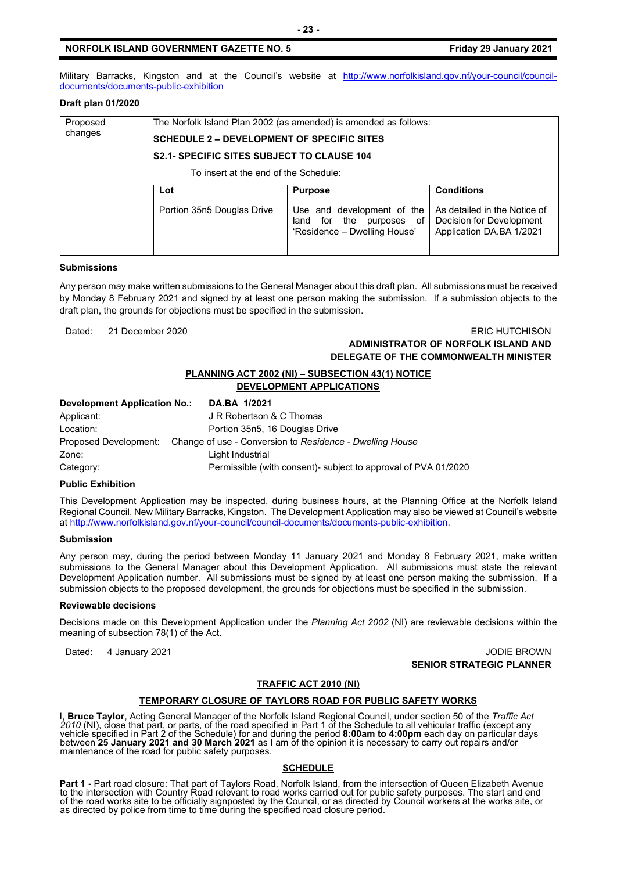Military Barracks, Kingston and at the Council's website at [http://www.norfolkisland.gov.nf/your-council/council](http://www.norfolkisland.gov.nf/your-council/council-documents/documents-public-exhibition)[documents/documents-public-exhibition](http://www.norfolkisland.gov.nf/your-council/council-documents/documents-public-exhibition)

#### **Draft plan 01/2020**

| Proposed<br>changes | The Norfolk Island Plan 2002 (as amended) is amended as follows: |                                                                                           |                                                                                      |  |  |
|---------------------|------------------------------------------------------------------|-------------------------------------------------------------------------------------------|--------------------------------------------------------------------------------------|--|--|
|                     | <b>SCHEDULE 2 – DEVELOPMENT OF SPECIFIC SITES</b>                |                                                                                           |                                                                                      |  |  |
|                     | <b>S2.1- SPECIFIC SITES SUBJECT TO CLAUSE 104</b>                |                                                                                           |                                                                                      |  |  |
|                     | To insert at the end of the Schedule:                            |                                                                                           |                                                                                      |  |  |
|                     | Lot                                                              | <b>Purpose</b>                                                                            | <b>Conditions</b>                                                                    |  |  |
|                     | Portion 35n5 Douglas Drive                                       | Use and development of the<br>for the purposes of<br>land<br>'Residence - Dwelling House' | As detailed in the Notice of<br>Decision for Development<br>Application DA.BA 1/2021 |  |  |

#### **Submissions**

Any person may make written submissions to the General Manager about this draft plan. All submissions must be received by Monday 8 February 2021 and signed by at least one person making the submission. If a submission objects to the draft plan, the grounds for objections must be specified in the submission.

Dated: 21 December 2020 ERIC HUTCHISON

#### **ADMINISTRATOR OF NORFOLK ISLAND AND DELEGATE OF THE COMMONWEALTH MINISTER**

#### **PLANNING ACT 2002 (NI) – SUBSECTION 43(1) NOTICE DEVELOPMENT APPLICATIONS**

| <b>Development Application No.:</b> |  | DA.BA 1/2021                                                                   |  |
|-------------------------------------|--|--------------------------------------------------------------------------------|--|
| Applicant:                          |  | J R Robertson & C Thomas                                                       |  |
| Location:                           |  | Portion 35n5, 16 Douglas Drive                                                 |  |
|                                     |  | Proposed Development: Change of use - Conversion to Residence - Dwelling House |  |
| Zone:                               |  | Light Industrial                                                               |  |
| Category:                           |  | Permissible (with consent)- subject to approval of PVA 01/2020                 |  |

#### **Public Exhibition**

This Development Application may be inspected, during business hours, at the Planning Office at the Norfolk Island Regional Council, New Military Barracks, Kingston. The Development Application may also be viewed at Council's website a[t http://www.norfolkisland.gov.nf/your-council/council-documents/documents-public-exhibition.](http://www.norfolkisland.gov.nf/your-council/council-documents/documents-public-exhibition)

#### **Submission**

Any person may, during the period between Monday 11 January 2021 and Monday 8 February 2021, make written submissions to the General Manager about this Development Application. All submissions must state the relevant Development Application number. All submissions must be signed by at least one person making the submission. If a submission objects to the proposed development, the grounds for objections must be specified in the submission.

#### **Reviewable decisions**

Decisions made on this Development Application under the *Planning Act 2002* (NI) are reviewable decisions within the meaning of subsection 78(1) of the Act.

Dated: 4 January 2021 **Dates: 1 Journal 2021** JODIE BROWN **SENIOR STRATEGIC PLANNER**

#### **TRAFFIC ACT 2010 (NI)**

#### **TEMPORARY CLOSURE OF TAYLORS ROAD FOR PUBLIC SAFETY WORKS**

I, **Bruce Taylor**, Acting General Manager of the Norfolk Island Regional Council, under section 50 of the *Traffic Act 2010* (NI), close that part, or parts, of the road specified in Part 1 of the Schedule to all vehicular traffic (except any vehicle specified in Part 2 of the Schedule) for and during the period **8:00am to 4:00pm** each day on particular days between **25 January 2021 and 30 March 2021** as I am of the opinion it is necessary to carry out repairs and/or maintenance of the road for public safety purposes.

#### **SCHEDULE**

**Part 1 -** Part road closure: That part of Taylors Road, Norfolk Island, from the intersection of Queen Elizabeth Avenue<br>to the intersection with Country Road relevant to road works carried out for public safety purposes. of the road works site to be officially signposted by the Council, or as directed by Council workers at the works site, or<br>as directed by police from time to time during the specified road closure period.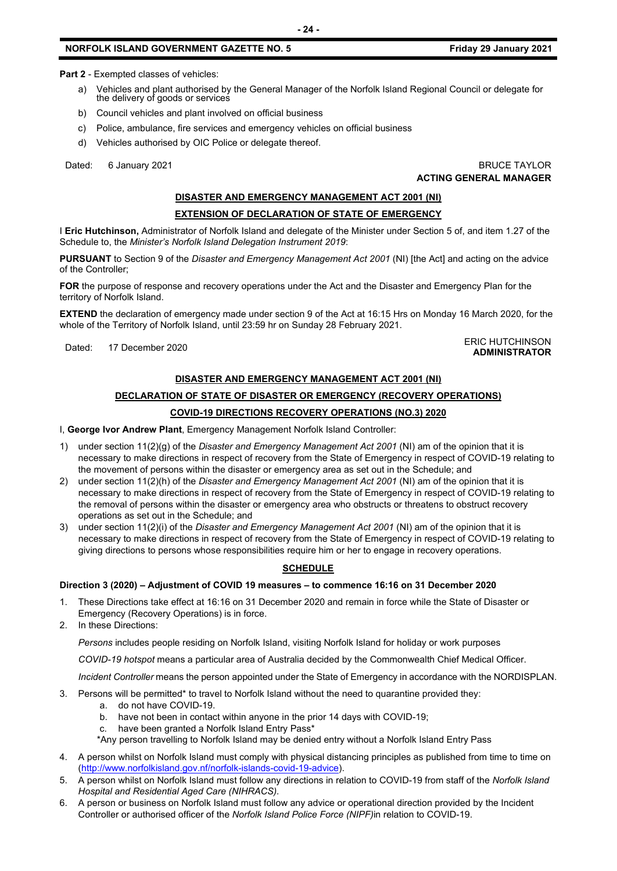**Part 2** - Exempted classes of vehicles:

- a) Vehicles and plant authorised by the General Manager of the Norfolk Island Regional Council or delegate for the delivery of goods or services
- b) Council vehicles and plant involved on official business
- c) Police, ambulance, fire services and emergency vehicles on official business
- d) Vehicles authorised by OIC Police or delegate thereof.

Dated: 6 January 2021 **BRUCE TAYLOR** 

# **ACTING GENERAL MANAGER**

#### **DISASTER AND EMERGENCY MANAGEMENT ACT 2001 (NI)**

#### **EXTENSION OF DECLARATION OF STATE OF EMERGENCY**

I **Eric Hutchinson,** Administrator of Norfolk Island and delegate of the Minister under Section 5 of, and item 1.27 of the Schedule to, the *Minister's Norfolk Island Delegation Instrument 2019*:

**PURSUANT** to Section 9 of the *Disaster and Emergency Management Act 2001* (NI) [the Act] and acting on the advice of the Controller;

**FOR** the purpose of response and recovery operations under the Act and the Disaster and Emergency Plan for the territory of Norfolk Island.

**EXTEND** the declaration of emergency made under section 9 of the Act at 16:15 Hrs on Monday 16 March 2020, for the whole of the Territory of Norfolk Island, until 23:59 hr on Sunday 28 February 2021.

#### Dated: 17 December 2020<br>Dated: 17 December 2020 **ADMINISTRATOR**

#### **DISASTER AND EMERGENCY MANAGEMENT ACT 2001 (NI)**

### **DECLARATION OF STATE OF DISASTER OR EMERGENCY (RECOVERY OPERATIONS)**

#### **COVID-19 DIRECTIONS RECOVERY OPERATIONS (NO.3) 2020**

I, **George Ivor Andrew Plant**, Emergency Management Norfolk Island Controller:

- 1) under section 11(2)(g) of the *Disaster and Emergency Management Act 2001* (NI) am of the opinion that it is necessary to make directions in respect of recovery from the State of Emergency in respect of COVID-19 relating to the movement of persons within the disaster or emergency area as set out in the Schedule; and
- 2) under section 11(2)(h) of the *Disaster and Emergency Management Act 2001* (NI) am of the opinion that it is necessary to make directions in respect of recovery from the State of Emergency in respect of COVID-19 relating to the removal of persons within the disaster or emergency area who obstructs or threatens to obstruct recovery operations as set out in the Schedule; and
- 3) under section 11(2)(i) of the *Disaster and Emergency Management Act 2001* (NI) am of the opinion that it is necessary to make directions in respect of recovery from the State of Emergency in respect of COVID-19 relating to giving directions to persons whose responsibilities require him or her to engage in recovery operations.

#### **SCHEDULE**

#### **Direction 3 (2020) – Adjustment of COVID 19 measures – to commence 16:16 on 31 December 2020**

- 1. These Directions take effect at 16:16 on 31 December 2020 and remain in force while the State of Disaster or Emergency (Recovery Operations) is in force.
- 2. In these Directions:

*Persons* includes people residing on Norfolk Island, visiting Norfolk Island for holiday or work purposes

*COVID-19 hotspot* means a particular area of Australia decided by the Commonwealth Chief Medical Officer.

*Incident Controller* means the person appointed under the State of Emergency in accordance with the NORDISPLAN.

- 3. Persons will be permitted\* to travel to Norfolk Island without the need to quarantine provided they:
	- a. do not have COVID-19.
	- b. have not been in contact within anyone in the prior 14 days with COVID-19;
	- c. have been granted a Norfolk Island Entry Pass\*
	- \*Any person travelling to Norfolk Island may be denied entry without a Norfolk Island Entry Pass
- 4. A person whilst on Norfolk Island must comply with physical distancing principles as published from time to time on [\(http://www.norfolkisland.gov.nf/norfolk-islands-covid-19-advice\)](http://www.norfolkisland.gov.nf/norfolk-islands-covid-19-advice).
- 5. A person whilst on Norfolk Island must follow any directions in relation to COVID-19 from staff of the *Norfolk Island Hospital and Residential Aged Care (NIHRACS).*
- 6. A person or business on Norfolk Island must follow any advice or operational direction provided by the Incident Controller or authorised officer of the *Norfolk Island Police Force (NIPF)*in relation to COVID-19.